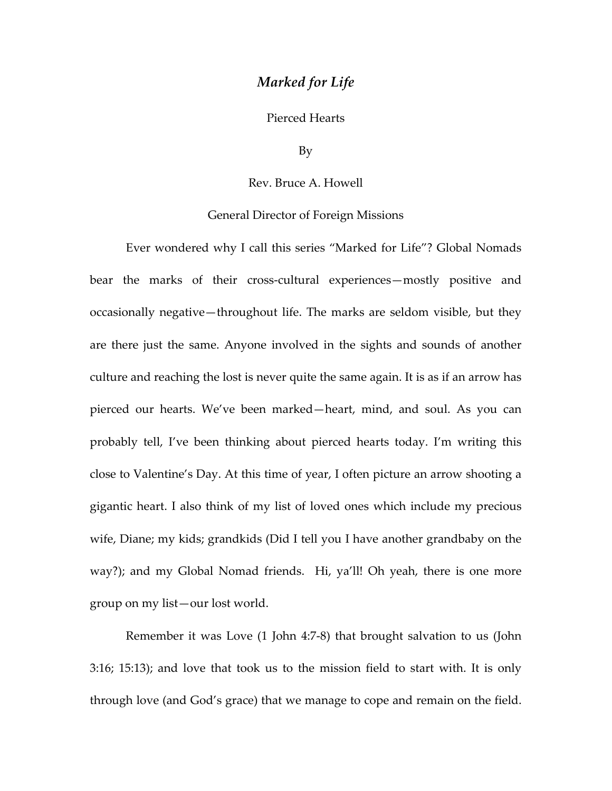## *Marked for Life*

Pierced Hearts

By

## Rev. Bruce A. Howell

## General Director of Foreign Missions

Ever wondered why I call this series "Marked for Life"? Global Nomads bear the marks of their cross-cultural experiences—mostly positive and occasionally negative—throughout life. The marks are seldom visible, but they are there just the same. Anyone involved in the sights and sounds of another culture and reaching the lost is never quite the same again. It is as if an arrow has pierced our hearts. We've been marked—heart, mind, and soul. As you can probably tell, I've been thinking about pierced hearts today. I'm writing this close to Valentine's Day. At this time of year, I often picture an arrow shooting a gigantic heart. I also think of my list of loved ones which include my precious wife, Diane; my kids; grandkids (Did I tell you I have another grandbaby on the way?); and my Global Nomad friends. Hi, ya'll! Oh yeah, there is one more group on my list—our lost world.

Remember it was Love (1 John 4:7‐8) that brought salvation to us (John 3:16; 15:13); and love that took us to the mission field to start with. It is only through love (and God's grace) that we manage to cope and remain on the field.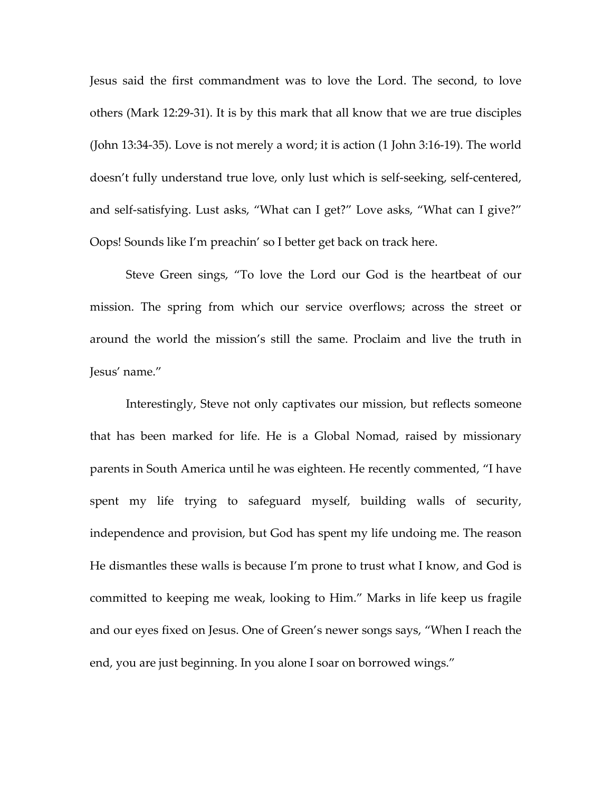Jesus said the first commandment was to love the Lord. The second, to love others (Mark 12:29‐31). It is by this mark that all know that we are true disciples (John 13:34‐35). Love is not merely a word; it is action (1 John 3:16‐19). The world doesn't fully understand true love, only lust which is self‐seeking, self‐centered, and self-satisfying. Lust asks, "What can I get?" Love asks, "What can I give?" Oops! Sounds like I'm preachin' so I better get back on track here.

Steve Green sings, "To love the Lord our God is the heartbeat of our mission. The spring from which our service overflows; across the street or around the world the mission's still the same. Proclaim and live the truth in Jesus' name."

Interestingly, Steve not only captivates our mission, but reflects someone that has been marked for life. He is a Global Nomad, raised by missionary parents in South America until he was eighteen. He recently commented, "I have spent my life trying to safeguard myself, building walls of security, independence and provision, but God has spent my life undoing me. The reason He dismantles these walls is because I'm prone to trust what I know, and God is committed to keeping me weak, looking to Him." Marks in life keep us fragile and our eyes fixed on Jesus. One of Green's newer songs says, "When I reach the end, you are just beginning. In you alone I soar on borrowed wings."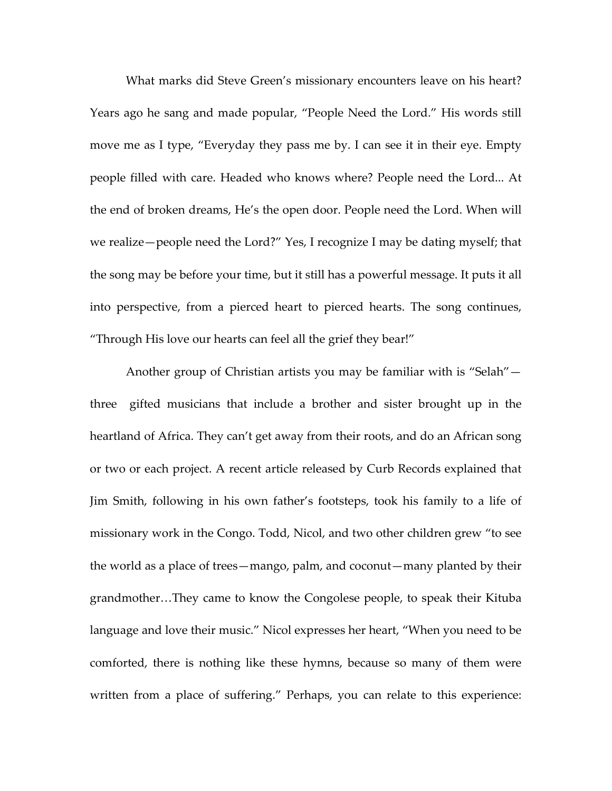What marks did Steve Green's missionary encounters leave on his heart? Years ago he sang and made popular, "People Need the Lord." His words still move me as I type, "Everyday they pass me by. I can see it in their eye. Empty people filled with care. Headed who knows where? People need the Lord... At the end of broken dreams, He's the open door. People need the Lord. When will we realize—people need the Lord?" Yes, I recognize I may be dating myself; that the song may be before your time, but it still has a powerful message. It puts it all into perspective, from a pierced heart to pierced hearts. The song continues, "Through His love our hearts can feel all the grief they bear!"

Another group of Christian artists you may be familiar with is "Selah" three gifted musicians that include a brother and sister brought up in the heartland of Africa. They can't get away from their roots, and do an African song or two or each project. A recent article released by Curb Records explained that Jim Smith, following in his own father's footsteps, took his family to a life of missionary work in the Congo. Todd, Nicol, and two other children grew "to see the world as a place of trees—mango, palm, and coconut—many planted by their grandmother…They came to know the Congolese people, to speak their Kituba language and love their music." Nicol expresses her heart, "When you need to be comforted, there is nothing like these hymns, because so many of them were written from a place of suffering." Perhaps, you can relate to this experience: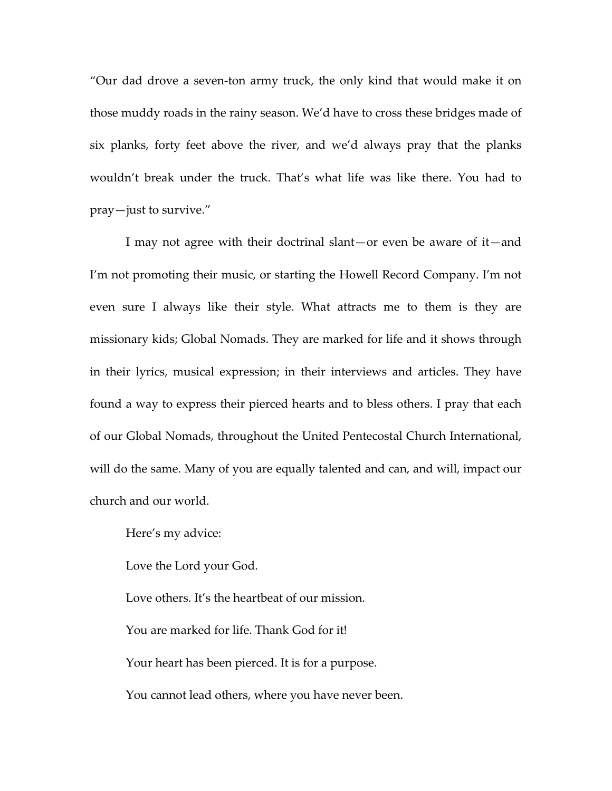"Our dad drove a seven‐ton army truck, the only kind that would make it on those muddy roads in the rainy season. We'd have to cross these bridges made of six planks, forty feet above the river, and we'd always pray that the planks wouldn't break under the truck. That's what life was like there. You had to pray—just to survive."

I may not agree with their doctrinal slant—or even be aware of it—and I'm not promoting their music, or starting the Howell Record Company. I'm not even sure I always like their style. What attracts me to them is they are missionary kids; Global Nomads. They are marked for life and it shows through in their lyrics, musical expression; in their interviews and articles. They have found a way to express their pierced hearts and to bless others. I pray that each of our Global Nomads, throughout the United Pentecostal Church International, will do the same. Many of you are equally talented and can, and will, impact our church and our world.

Here's my advice:

Love the Lord your God.

Love others. It's the heartbeat of our mission. You are marked for life. Thank God for it!

Your heart has been pierced. It is for a purpose.

You cannot lead others, where you have never been.